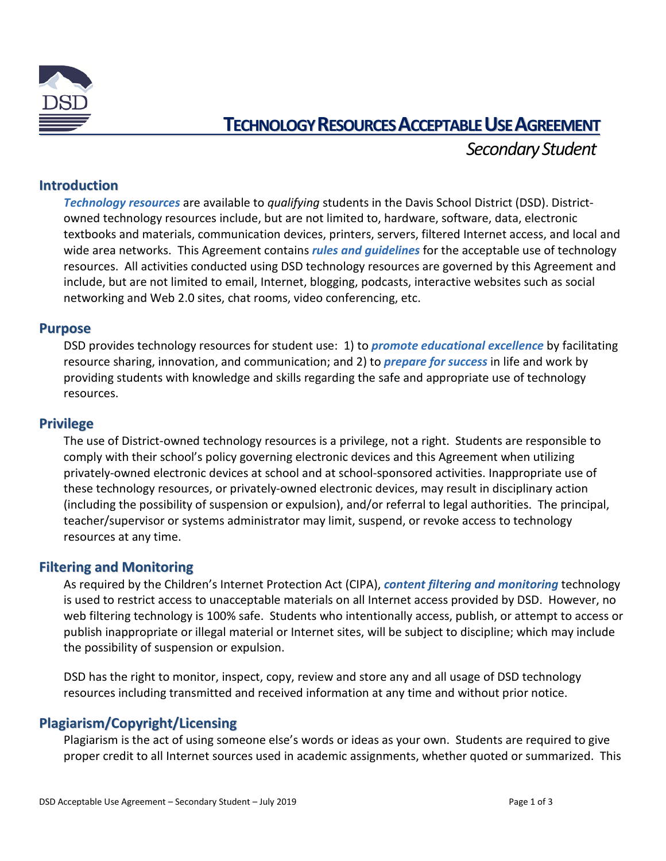

# **TECHNOLOGY RESOURCES ACCEPTABLE USE AGREEMENT**

 *Secondary Student*

## **Introduction**

*Technology resources* are available to *qualifying* students in the Davis School District (DSD). Districtowned technology resources include, but are not limited to, hardware, software, data, electronic textbooks and materials, communication devices, printers, servers, filtered Internet access, and local and wide area networks. This Agreement contains *rules and guidelines* for the acceptable use of technology resources. All activities conducted using DSD technology resources are governed by this Agreement and include, but are not limited to email, Internet, blogging, podcasts, interactive websites such as social networking and Web 2.0 sites, chat rooms, video conferencing, etc.

#### **Purpose**

DSD provides technology resources for student use: 1) to *promote educational excellence* by facilitating resource sharing, innovation, and communication; and 2) to *prepare for success* in life and work by providing students with knowledge and skills regarding the safe and appropriate use of technology resources.

#### **Privilege**

The use of District-owned technology resources is a privilege, not a right. Students are responsible to comply with their school's policy governing electronic devices and this Agreement when utilizing privately-owned electronic devices at school and at school-sponsored activities. Inappropriate use of these technology resources, or privately-owned electronic devices, may result in disciplinary action (including the possibility of suspension or expulsion), and/or referral to legal authorities. The principal, teacher/supervisor or systems administrator may limit, suspend, or revoke access to technology resources at any time.

## **Filtering and Monitoring**

As required by the Children's Internet Protection Act (CIPA), *content filtering and monitoring* technology is used to restrict access to unacceptable materials on all Internet access provided by DSD. However, no web filtering technology is 100% safe. Students who intentionally access, publish, or attempt to access or publish inappropriate or illegal material or Internet sites, will be subject to discipline; which may include the possibility of suspension or expulsion.

DSD has the right to monitor, inspect, copy, review and store any and all usage of DSD technology resources including transmitted and received information at any time and without prior notice.

## **Plagiarism/Copyright/Licensing**

Plagiarism is the act of using someone else's words or ideas as your own. Students are required to give proper credit to all Internet sources used in academic assignments, whether quoted or summarized. This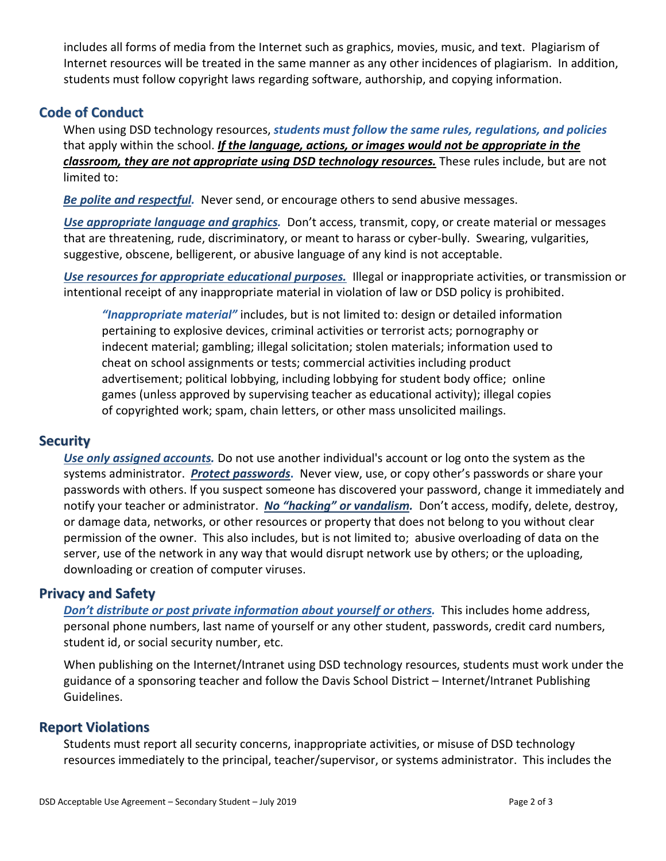includes all forms of media from the Internet such as graphics, movies, music, and text. Plagiarism of Internet resources will be treated in the same manner as any other incidences of plagiarism. In addition, students must follow copyright laws regarding software, authorship, and copying information.

# **Code of Conduct**

When using DSD technology resources, *students must follow the same rules, regulations, and policies*  that apply within the school. *If the language, actions, or images would not be appropriate in the classroom, they are not appropriate using DSD technology resources.* These rules include, but are not limited to:

*Be polite and respectful.* Never send, or encourage others to send abusive messages.

*Use appropriate language and graphics.* Don't access, transmit, copy, or create material or messages that are threatening, rude, discriminatory, or meant to harass or cyber-bully. Swearing, vulgarities, suggestive, obscene, belligerent, or abusive language of any kind is not acceptable.

*Use resources for appropriate educational purposes.* Illegal or inappropriate activities, or transmission or intentional receipt of any inappropriate material in violation of law or DSD policy is prohibited.

*"Inappropriate material"* includes, but is not limited to: design or detailed information pertaining to explosive devices, criminal activities or terrorist acts; pornography or indecent material; gambling; illegal solicitation; stolen materials; information used to cheat on school assignments or tests; commercial activities including product advertisement; political lobbying, including lobbying for student body office; online games (unless approved by supervising teacher as educational activity); illegal copies of copyrighted work; spam, chain letters, or other mass unsolicited mailings.

## **Security**

*Use only assigned accounts.* Do not use another individual's account or log onto the system as the systems administrator. *Protect passwords***.** Never view, use, or copy other's passwords or share your passwords with others. If you suspect someone has discovered your password, change it immediately and notify your teacher or administrator. *No "hacking" or vandalism.* Don't access, modify, delete, destroy, or damage data, networks, or other resources or property that does not belong to you without clear permission of the owner. This also includes, but is not limited to; abusive overloading of data on the server, use of the network in any way that would disrupt network use by others; or the uploading, downloading or creation of computer viruses.

#### **Privacy and Safety**

*Don't distribute or post private information about yourself or others.* This includes home address, personal phone numbers, last name of yourself or any other student, passwords, credit card numbers, student id, or social security number, etc.

When publishing on the Internet/Intranet using DSD technology resources, students must work under the guidance of a sponsoring teacher and follow the Davis School District – Internet/Intranet Publishing Guidelines.

## **Report Violations**

Students must report all security concerns, inappropriate activities, or misuse of DSD technology resources immediately to the principal, teacher/supervisor, or systems administrator. This includes the